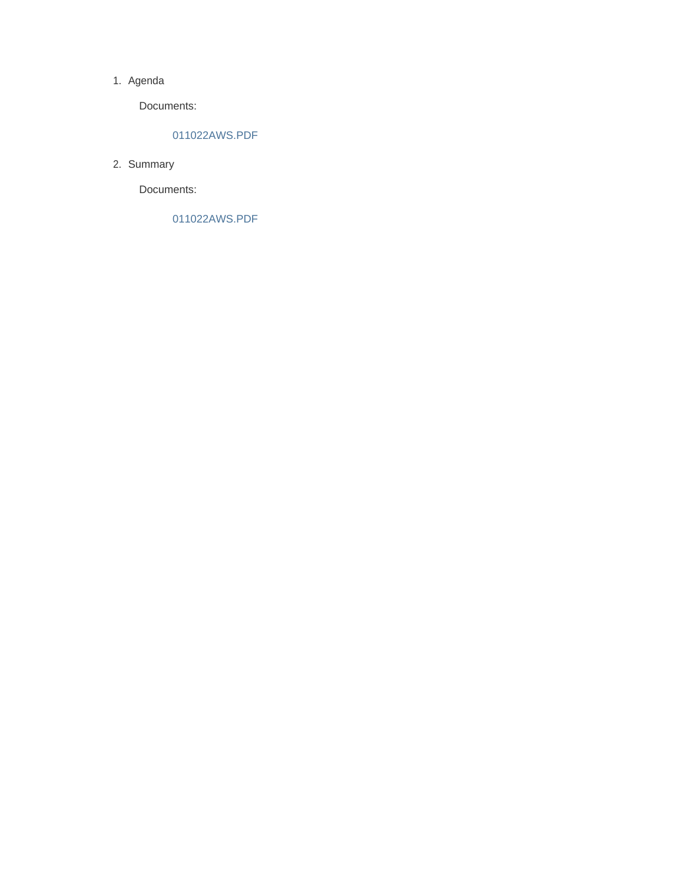#### 1. Agenda

Documents:

### 011022AWS.PDF

2. Summary

Documents:

011022AWS.PDF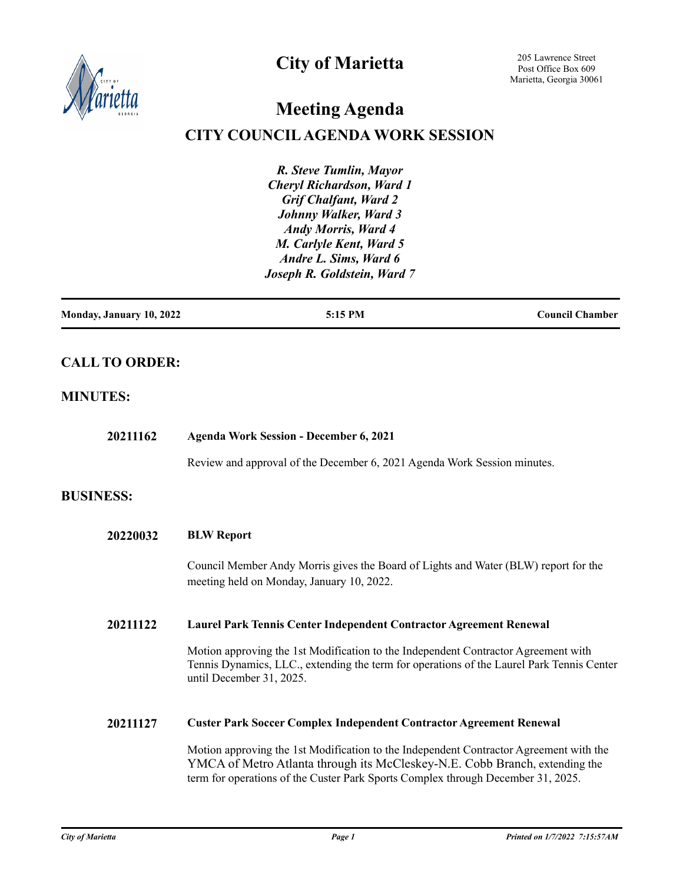

# **City of Marietta**

205 Lawrence Street Post Office Box 609 Marietta, Georgia 30061

# **Meeting Agenda**

# **CITY COUNCIL AGENDA WORK SESSION**

*R. Steve Tumlin, Mayor Cheryl Richardson, Ward 1 Grif Chalfant, Ward 2 Johnny Walker, Ward 3 Andy Morris, Ward 4 M. Carlyle Kent, Ward 5 Andre L. Sims, Ward 6 Joseph R. Goldstein, Ward 7*

| Monday, January 10, 2022 | 5:15 PM | <b>Council Chamber</b> |
|--------------------------|---------|------------------------|
|                          |         |                        |

# **CALL TO ORDER:**

## **MINUTES:**

| 20211162         | <b>Agenda Work Session - December 6, 2021</b>                                                                                                                                                                                                             |  |
|------------------|-----------------------------------------------------------------------------------------------------------------------------------------------------------------------------------------------------------------------------------------------------------|--|
|                  | Review and approval of the December 6, 2021 Agenda Work Session minutes.                                                                                                                                                                                  |  |
| <b>BUSINESS:</b> |                                                                                                                                                                                                                                                           |  |
| 20220032         | <b>BLW Report</b>                                                                                                                                                                                                                                         |  |
|                  | Council Member Andy Morris gives the Board of Lights and Water (BLW) report for the<br>meeting held on Monday, January 10, 2022.                                                                                                                          |  |
| 20211122         | Laurel Park Tennis Center Independent Contractor Agreement Renewal                                                                                                                                                                                        |  |
|                  | Motion approving the 1st Modification to the Independent Contractor Agreement with<br>Tennis Dynamics, LLC., extending the term for operations of the Laurel Park Tennis Center<br>until December 31, 2025.                                               |  |
| 20211127         | <b>Custer Park Soccer Complex Independent Contractor Agreement Renewal</b>                                                                                                                                                                                |  |
|                  | Motion approving the 1st Modification to the Independent Contractor Agreement with the<br>YMCA of Metro Atlanta through its McCleskey-N.E. Cobb Branch, extending the<br>term for operations of the Custer Park Sports Complex through December 31, 2025. |  |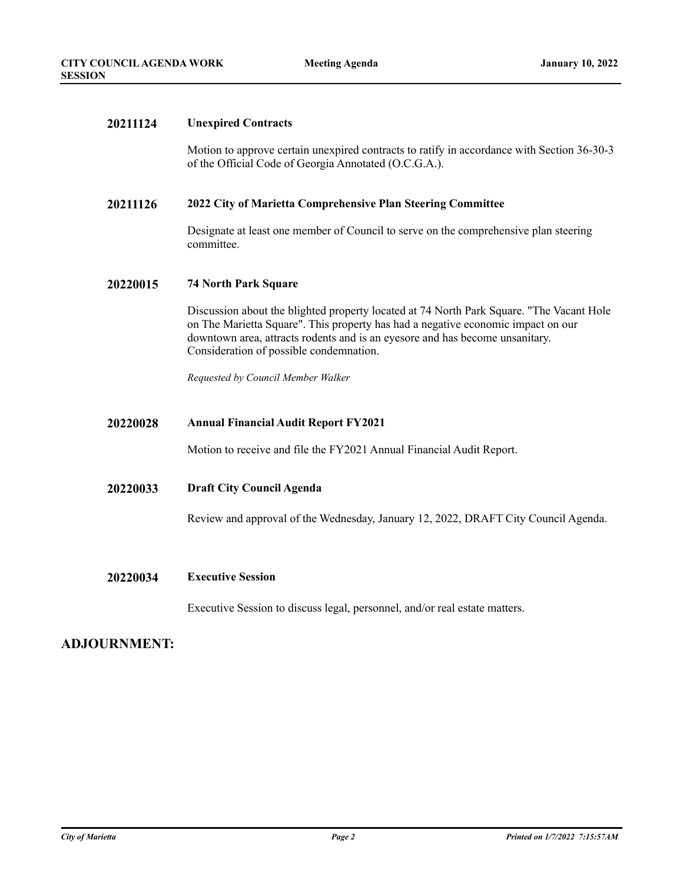#### **20211124 Unexpired Contracts**

Motion to approve certain unexpired contracts to ratify in accordance with Section 36-30-3 of the Official Code of Georgia Annotated (O.C.G.A.).

#### **20211126 2022 City of Marietta Comprehensive Plan Steering Committee**

Designate at least one member of Council to serve on the comprehensive plan steering committee.

#### **20220015 74 North Park Square**

Discussion about the blighted property located at 74 North Park Square. "The Vacant Hole on The Marietta Square". This property has had a negative economic impact on our downtown area, attracts rodents and is an eyesore and has become unsanitary. Consideration of possible condemnation.

*Requested by Council Member Walker*

#### **20220028 Annual Financial Audit Report FY2021**

Motion to receive and file the FY2021 Annual Financial Audit Report.

#### **20220033 Draft City Council Agenda**

Review and approval of the Wednesday, January 12, 2022, DRAFT City Council Agenda.

#### **20220034 Executive Session**

Executive Session to discuss legal, personnel, and/or real estate matters.

### **ADJOURNMENT:**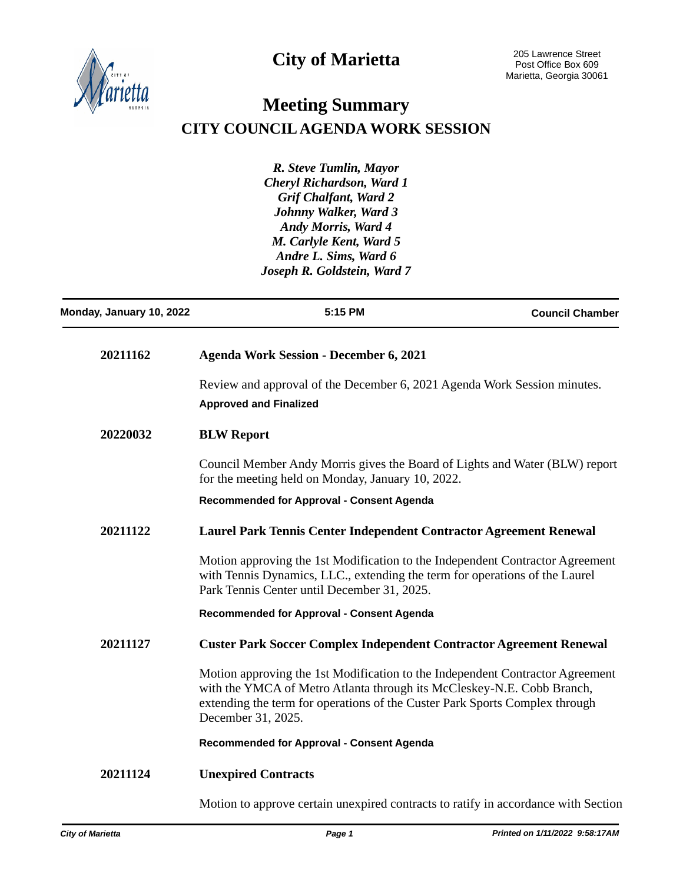



l,

# **Meeting Summary CITY COUNCIL AGENDA WORK SESSION**

*R. Steve Tumlin, Mayor Cheryl Richardson, Ward 1 Grif Chalfant, Ward 2 Johnny Walker, Ward 3 Andy Morris, Ward 4 M. Carlyle Kent, Ward 5 Andre L. Sims, Ward 6 Joseph R. Goldstein, Ward 7*

| Monday, January 10, 2022 | 5:15 PM                                                                                                                                                                                                                                                      | <b>Council Chamber</b> |
|--------------------------|--------------------------------------------------------------------------------------------------------------------------------------------------------------------------------------------------------------------------------------------------------------|------------------------|
| 20211162                 | <b>Agenda Work Session - December 6, 2021</b>                                                                                                                                                                                                                |                        |
|                          | Review and approval of the December 6, 2021 Agenda Work Session minutes.<br><b>Approved and Finalized</b>                                                                                                                                                    |                        |
| 20220032                 | <b>BLW Report</b>                                                                                                                                                                                                                                            |                        |
|                          | Council Member Andy Morris gives the Board of Lights and Water (BLW) report<br>for the meeting held on Monday, January 10, 2022.                                                                                                                             |                        |
|                          | Recommended for Approval - Consent Agenda                                                                                                                                                                                                                    |                        |
| 20211122                 | Laurel Park Tennis Center Independent Contractor Agreement Renewal                                                                                                                                                                                           |                        |
|                          | Motion approving the 1st Modification to the Independent Contractor Agreement<br>with Tennis Dynamics, LLC., extending the term for operations of the Laurel<br>Park Tennis Center until December 31, 2025.                                                  |                        |
|                          | <b>Recommended for Approval - Consent Agenda</b>                                                                                                                                                                                                             |                        |
| 20211127                 | <b>Custer Park Soccer Complex Independent Contractor Agreement Renewal</b>                                                                                                                                                                                   |                        |
|                          | Motion approving the 1st Modification to the Independent Contractor Agreement<br>with the YMCA of Metro Atlanta through its McCleskey-N.E. Cobb Branch,<br>extending the term for operations of the Custer Park Sports Complex through<br>December 31, 2025. |                        |
|                          | Recommended for Approval - Consent Agenda                                                                                                                                                                                                                    |                        |
| 20211124                 | <b>Unexpired Contracts</b>                                                                                                                                                                                                                                   |                        |
|                          | Motion to approve certain unexpired contracts to ratify in accordance with Section                                                                                                                                                                           |                        |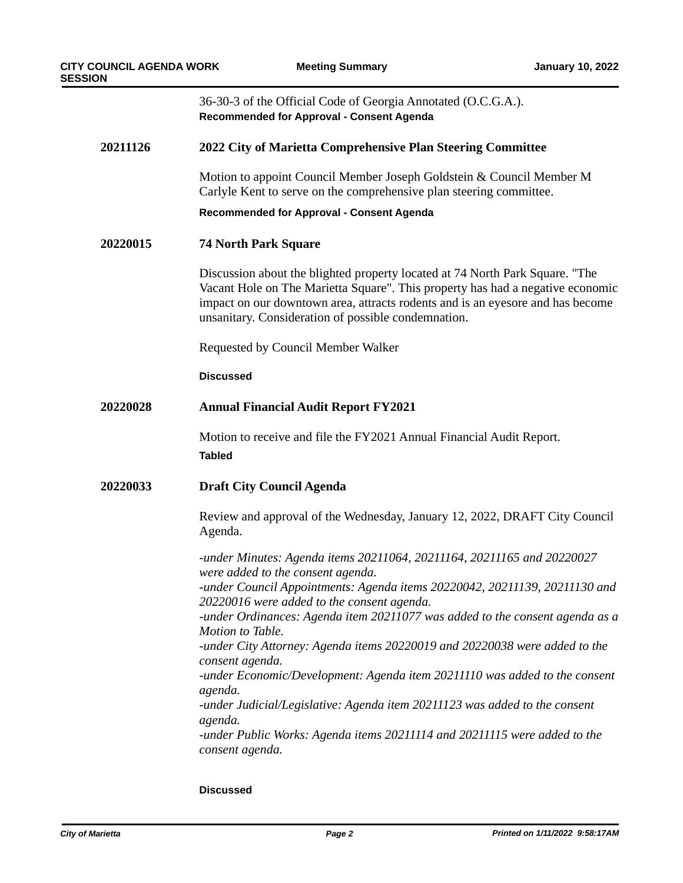|          | 36-30-3 of the Official Code of Georgia Annotated (O.C.G.A.).<br>Recommended for Approval - Consent Agenda                                                                                                                                                                                              |  |
|----------|---------------------------------------------------------------------------------------------------------------------------------------------------------------------------------------------------------------------------------------------------------------------------------------------------------|--|
| 20211126 | 2022 City of Marietta Comprehensive Plan Steering Committee                                                                                                                                                                                                                                             |  |
|          | Motion to appoint Council Member Joseph Goldstein & Council Member M<br>Carlyle Kent to serve on the comprehensive plan steering committee.                                                                                                                                                             |  |
|          | <b>Recommended for Approval - Consent Agenda</b>                                                                                                                                                                                                                                                        |  |
| 20220015 | <b>74 North Park Square</b>                                                                                                                                                                                                                                                                             |  |
|          | Discussion about the blighted property located at 74 North Park Square. "The<br>Vacant Hole on The Marietta Square". This property has had a negative economic<br>impact on our downtown area, attracts rodents and is an eyesore and has become<br>unsanitary. Consideration of possible condemnation. |  |
|          | Requested by Council Member Walker                                                                                                                                                                                                                                                                      |  |
|          | <b>Discussed</b>                                                                                                                                                                                                                                                                                        |  |
| 20220028 | <b>Annual Financial Audit Report FY2021</b>                                                                                                                                                                                                                                                             |  |
|          | Motion to receive and file the FY2021 Annual Financial Audit Report.<br><b>Tabled</b>                                                                                                                                                                                                                   |  |
| 20220033 | <b>Draft City Council Agenda</b>                                                                                                                                                                                                                                                                        |  |
|          | Review and approval of the Wednesday, January 12, 2022, DRAFT City Council<br>Agenda.                                                                                                                                                                                                                   |  |
|          | -under Minutes: Agenda items 20211064, 20211164, 20211165 and 20220027<br>were added to the consent agenda.                                                                                                                                                                                             |  |
|          | -under Council Appointments: Agenda items 20220042, 20211139, 20211130 and<br>20220016 were added to the consent agenda.                                                                                                                                                                                |  |
|          | -under Ordinances: Agenda item 20211077 was added to the consent agenda as a<br>Motion to Table.                                                                                                                                                                                                        |  |
|          | -under City Attorney: Agenda items 20220019 and 20220038 were added to the<br>consent agenda.                                                                                                                                                                                                           |  |
|          | -under Economic/Development: Agenda item 20211110 was added to the consent<br>agenda.                                                                                                                                                                                                                   |  |
|          | -under Judicial/Legislative: Agenda item 20211123 was added to the consent<br>agenda.                                                                                                                                                                                                                   |  |
|          | -under Public Works: Agenda items 20211114 and 20211115 were added to the<br>consent agenda.                                                                                                                                                                                                            |  |

#### **Discussed**